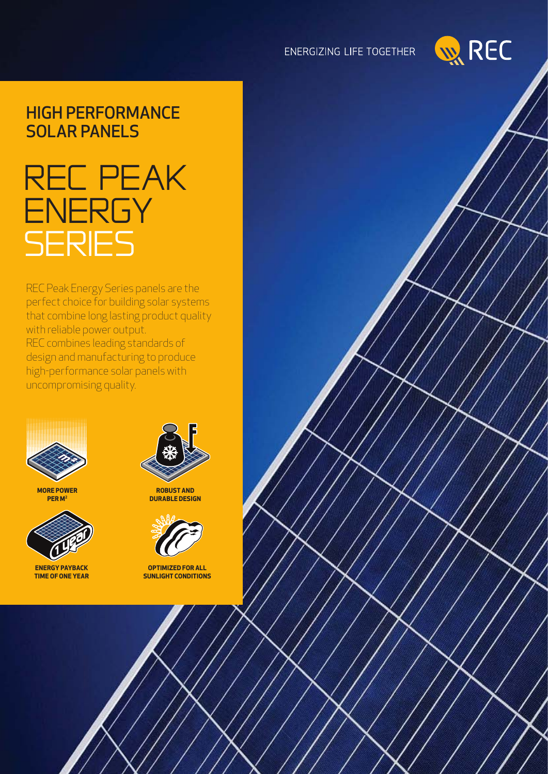### ENERGIZING LIFE TOGETHER



### HIGH PERFORMANCE **SOLAR PANELS**

# rec Peak **ENERGY SERIES**

REC Peak Energy Series panels are the perfect choice for building solar systems that combine long lasting product quality with reliable power output. REC combines leading standards of design and manufacturing to produce high-performance solar panels with uncompromising quality.



**more power per m2**



**Energy Payback time of one year**



**Robust and durable design**



**Optimized for all sunlight conditions**